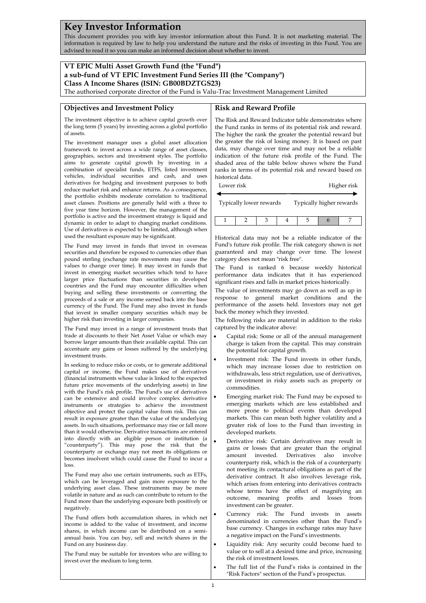# **Key Investor Information**

This document provides you with key investor information about this Fund. It is not marketing material. The information is required by law to help you understand the nature and the risks of investing in this Fund. You are advised to read it so you can make an informed decision about whether to invest.

## **VT EPIC Multi Asset Growth Fund (the "Fund") a sub-fund of VT EPIC Investment Fund Series III (the "Company") Class A Income Shares (ISIN: GB00BDZTGS23)**

The authorised corporate director of the Fund is Valu-Trac Investment Management Limited

## **Objectives and Investment Policy**

## **Risk and Reward Profile**

The investment objective is to achieve capital growth over the long term (5 years) by investing across a global portfolio of assets.

The investment manager uses a global asset allocation framework to invest across a wide range of asset classes, geographies, sectors and investment styles. The portfolio aims to generate capital growth by investing in a combination of specialist funds, ETFS, listed investment vehicles, individual securities and cash, and uses derivatives for hedging and investment purposes to both reduce market risk and enhance returns. As a consequence, the portfolio exhibits moderate correlation to traditional asset classes. Positions are generally held with a three to five year time horizon. However, the management of the portfolio is active and the investment strategy is liquid and dynamic in order to adapt to changing market conditions. Use of derivatives is expected to be limited, although when used the resultant exposure may be significant.

The Fund may invest in funds that invest in overseas securities and therefore be exposed to currencies other than pound sterling (exchange rate movements may cause the values to change over time). It may invest in funds that invest in emerging market securities which tend to have larger price fluctuations than securities in developed countries and the Fund may encounter difficulties when buying and selling these investments or converting the proceeds of a sale or any income earned back into the base currency of the Fund. The Fund may also invest in funds that invest in smaller company securities which may be higher risk than investing in larger companies.

The Fund may invest in a range of investment trusts that trade at discounts to their Net Asset Value or which may borrow larger amounts than their available capital. This can accentuate any gains or losses suffered by the underlying investment trusts.

In seeking to reduce risks or costs, or to generate additional capital or income, the Fund makes use of derivatives (financial instruments whose value is linked to the expected future price movements of the underlying assets) in line with the Fund's risk profile. The Fund's use of derivatives can be extensive and could involve complex derivative instruments or strategies to achieve the investment objective and protect the capital value from risk. This can result in exposure greater than the value of the underlying assets. In such situations, performance may rise or fall more than it would otherwise. Derivative transactions are entered into directly with an eligible person or institution (a "counterparty"). This may pose the risk that the counterparty or exchange may not meet its obligations or becomes insolvent which could cause the Fund to incur a loss.

The Fund may also use certain instruments, such as ETFs, which can be leveraged and gain more exposure to the underlying asset class. These instruments may be more volatile in nature and as such can contribute to return to the Fund more than the underlying exposure both positively or negatively.

The Fund offers both accumulation shares, in which net income is added to the value of investment, and income shares, in which income can be distributed on a semiannual basis. You can buy, sell and switch shares in the Fund on any business day.

The Fund may be suitable for investors who are willing to invest over the medium to long term.

The Risk and Reward Indicator table demonstrates where the Fund ranks in terms of its potential risk and reward. The higher the rank the greater the potential reward but the greater the risk of losing money. It is based on past data, may change over time and may not be a reliable indication of the future risk profile of the Fund. The shaded area of the table below shows where the Fund ranks in terms of its potential risk and reward based on historical data.

| Lower risk              |  |  |  | Higher risk              |  |  |
|-------------------------|--|--|--|--------------------------|--|--|
| Typically lower rewards |  |  |  | Typically higher rewards |  |  |
|                         |  |  |  |                          |  |  |

Historical data may not be a reliable indicator of the Fund's future risk profile. The risk category shown is not guaranteed and may change over time. The lowest category does not mean "risk free".

The Fund is ranked 6 because weekly historical performance data indicates that it has experienced significant rises and falls in market prices historically.

The value of investments may go down as well as up in response to general market conditions and the performance of the assets held. Investors may not get back the money which they invested.

The following risks are material in addition to the risks captured by the indicator above:

- Capital risk: Some or all of the annual management charge is taken from the capital. This may constrain the potential for capital growth.
- Investment risk: The Fund invests in other funds, which may increase losses due to restriction on withdrawals, less strict regulation, use of derivatives, or investment in risky assets such as property or commodities.
- Emerging market risk: The Fund may be exposed to emerging markets which are less established and more prone to political events than developed markets. This can mean both higher volatility and a greater risk of loss to the Fund than investing in developed markets.
- Derivative risk: Certain derivatives may result in gains or losses that are greater than the original amount invested. Derivatives also involve counterparty risk, which is the risk of a counterparty not meeting its contactural obligations as part of the derivative contract. It also involves leverage risk, which arises from entering into derivatives contracts whose terms have the effect of magnifying an outcome, meaning profits and losses from investment can be greater.
- Currency risk: The Fund invests in assets denominated in currencies other than the Fund's base currency. Changes in exchange rates may have a negative impact on the Fund's investments.
- Liquidity risk: Any security could become hard to value or to sell at a desired time and price, increasing the risk of investment losses.
- The full list of the Fund's risks is contained in the "Risk Factors" section of the Fund's prospectus.